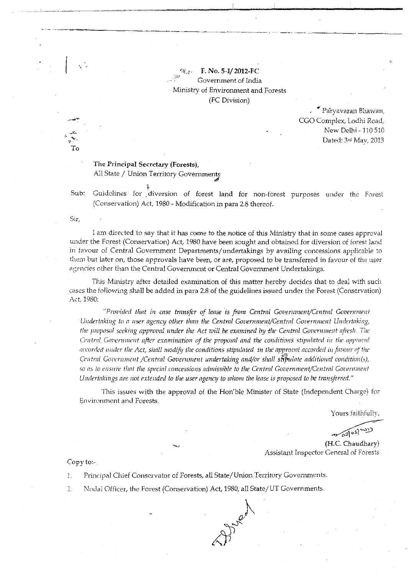F. No. 5-1/2012-FC Government of India Ministry of Environment and Forests (FC Division)

> " Paryavaran Bhawan, CGO Complex, Lodhi Road, New Delhi - 110 510 Dated: 3rd May, 2013

## The Principal Secretary (Forests), All State / Union Territory Governments

Sub: Guidelines for diversion of forest land for non-forest purposes under the Forest (Conservation) Act, 1980 - Modification in para 2.8 thereof.

Sır.

I am directed to say that it has come to the notice of this Ministry that in some cases approval under the Forest (Conservation) Act, 1980 have been sought and obtained for diversion of forest land in favour of Central Government Departments/undertakings by availing concessions applicable to them but later on, those approvals have been, or are, proposed to be transferred in favour of the user agencies other than the Central Government or Central Government Undertakings.

This Ministry after detailed examination of this matter hereby decides that to deal with such cases the following shall be added in para 2.8 of the guidelines issued under the Forest (Conservation) Act, 1980:

"Provided that in case transfer of lease is from Central Government/Central Government Undertaking to a user agency other than the Central Government/Gentral Government Undertaking, the proposal seeking approval under the Act will be examined by the Central Government afresh. The Central Government after examination of the proposal and the conditions stipulated in the approval accorded under the Act, shall modify the conditions stipulated in the approval accorded in favour of the Central Government /Central Government undertaking and/or shall stipulate additional condition(s), so as to ensure that the special concessions admissible to the Central Government/Central Government Undertakings are not extended to the user agency to whom the lease is proposed to be transferred."

This issues with the approval of the Hon'ble Minister of State (Independent Charge) for **Environment and Forests.** 

Alger

Yours faithfully.

(H.C. Chaudhary)

Assistant Inspector General of Forests

Copy to:-

Principal Chief Conservator of Forests, all State/Union Territory Governments.  $T_{\rm{L}}$ 

 $\overline{2}$ . Nodal Officer, the Forest (Conservation) Act, 1980, all State/UT Governments.